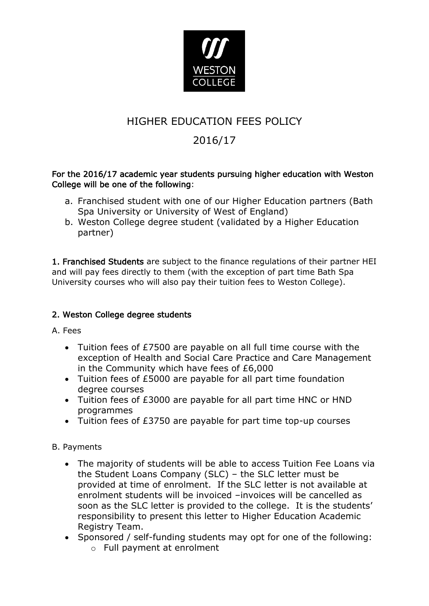

## HIGHER EDUCATION FEES POLICY

# 2016/17

#### For the 2016/17 academic year students pursuing higher education with Weston College will be one of the following:

- a. Franchised student with one of our Higher Education partners (Bath Spa University or University of West of England)
- b. Weston College degree student (validated by a Higher Education partner)

1. Franchised Students are subject to the finance regulations of their partner HEI and will pay fees directly to them (with the exception of part time Bath Spa University courses who will also pay their tuition fees to Weston College).

## 2. Weston College degree students

A. Fees

- Tuition fees of £7500 are payable on all full time course with the exception of Health and Social Care Practice and Care Management in the Community which have fees of £6,000
- Tuition fees of £5000 are payable for all part time foundation degree courses
- Tuition fees of £3000 are payable for all part time HNC or HND programmes
- Tuition fees of £3750 are payable for part time top-up courses

B. Payments

- The majority of students will be able to access Tuition Fee Loans via the Student Loans Company (SLC) – the SLC letter must be provided at time of enrolment. If the SLC letter is not available at enrolment students will be invoiced –invoices will be cancelled as soon as the SLC letter is provided to the college. It is the students' responsibility to present this letter to Higher Education Academic Registry Team.
- Sponsored / self-funding students may opt for one of the following:
	- o Full payment at enrolment